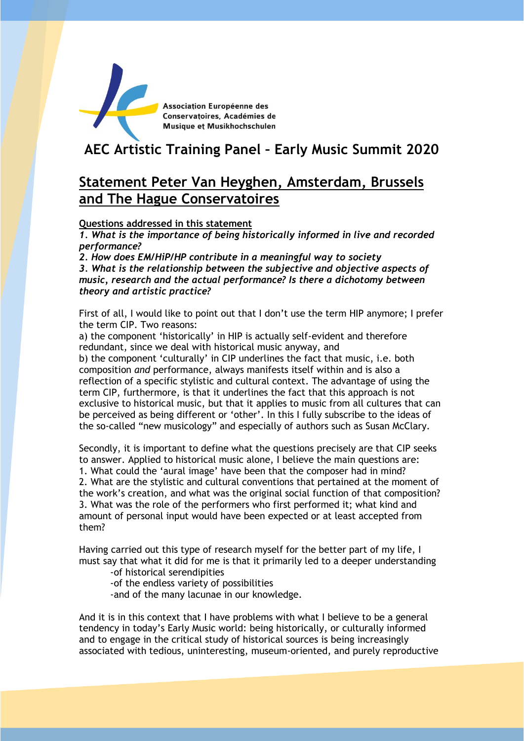

Association Européenne des Conservatoires, Académies de Musique et Musikhochschulen

# **AEC Artistic Training Panel – Early Music Summit 2020**

## **Statement Peter Van Heyghen, Amsterdam, Brussels and The Hague Conservatoires**

**Questions addressed in this statement**

*1. What is the importance of being historically informed in live and recorded performance?*

*2. How does EM/HiP/HP contribute in a meaningful way to society*

*3. What is the relationship between the subjective and objective aspects of music, research and the actual performance? Is there a dichotomy between theory and artistic practice?*

First of all, I would like to point out that I don't use the term HIP anymore; I prefer the term CIP. Two reasons:

a) the component 'historically' in HIP is actually self-evident and therefore redundant, since we deal with historical music anyway, and

b) the component 'culturally' in CIP underlines the fact that music, i.e. both composition *and* performance, always manifests itself within and is also a reflection of a specific stylistic and cultural context. The advantage of using the term CIP, furthermore, is that it underlines the fact that this approach is not exclusive to historical music, but that it applies to music from all cultures that can be perceived as being different or 'other'. In this I fully subscribe to the ideas of the so-called "new musicology" and especially of authors such as Susan McClary.

Secondly, it is important to define what the questions precisely are that CIP seeks to answer. Applied to historical music alone, I believe the main questions are: 1. What could the 'aural image' have been that the composer had in mind? 2. What are the stylistic and cultural conventions that pertained at the moment of the work's creation, and what was the original social function of that composition? 3. What was the role of the performers who first performed it; what kind and amount of personal input would have been expected or at least accepted from them?

Having carried out this type of research myself for the better part of my life, I must say that what it did for me is that it primarily led to a deeper understanding

-of historical serendipities

-of the endless variety of possibilities

-and of the many lacunae in our knowledge.

And it is in this context that I have problems with what I believe to be a general tendency in today's Early Music world: being historically, or culturally informed and to engage in the critical study of historical sources is being increasingly associated with tedious, uninteresting, museum-oriented, and purely reproductive